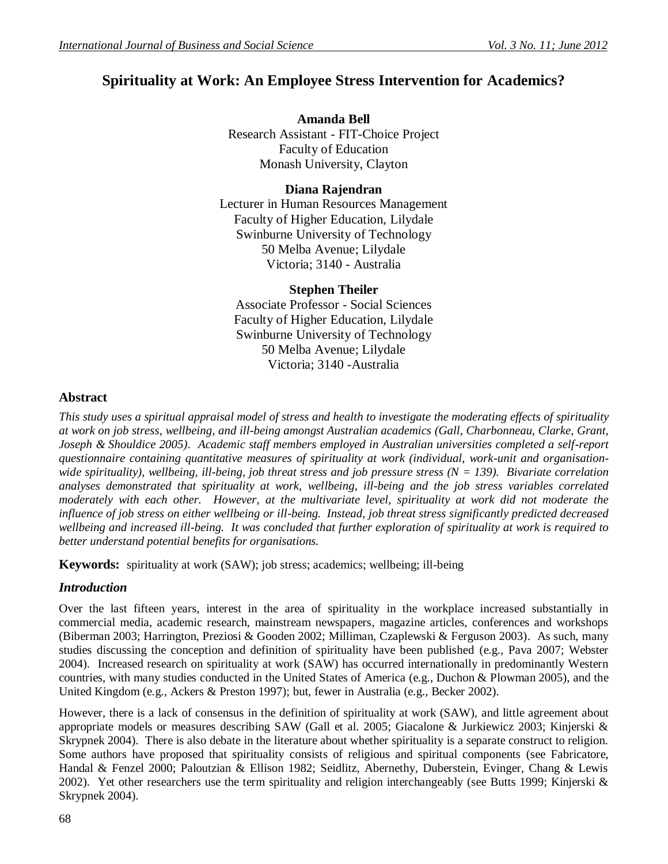# **Spirituality at Work: An Employee Stress Intervention for Academics?**

### **Amanda Bell**

Research Assistant - FIT-Choice Project Faculty of Education Monash University, Clayton

# **Diana Rajendran**

Lecturer in Human Resources Management Faculty of Higher Education, Lilydale Swinburne University of Technology 50 Melba Avenue; Lilydale Victoria; 3140 - Australia

## **Stephen Theiler**

Associate Professor - Social Sciences Faculty of Higher Education, Lilydale Swinburne University of Technology 50 Melba Avenue; Lilydale Victoria; 3140 -Australia

## **Abstract**

*This study uses a spiritual appraisal model of stress and health to investigate the moderating effects of spirituality at work on job stress, wellbeing, and ill-being amongst Australian academics (Gall, Charbonneau, Clarke, Grant, Joseph & Shouldice 2005). Academic staff members employed in Australian universities completed a self-report questionnaire containing quantitative measures of spirituality at work (individual, work-unit and organisationwide spirituality), wellbeing, ill-being, job threat stress and job pressure stress (N = 139). Bivariate correlation analyses demonstrated that spirituality at work, wellbeing, ill-being and the job stress variables correlated moderately with each other. However, at the multivariate level, spirituality at work did not moderate the influence of job stress on either wellbeing or ill-being. Instead, job threat stress significantly predicted decreased wellbeing and increased ill-being. It was concluded that further exploration of spirituality at work is required to better understand potential benefits for organisations.*

**Keywords:**spirituality at work (SAW); job stress; academics; wellbeing; ill-being

# *Introduction*

Over the last fifteen years, interest in the area of spirituality in the workplace increased substantially in commercial media, academic research, mainstream newspapers, magazine articles, conferences and workshops (Biberman 2003; Harrington, Preziosi & Gooden 2002; Milliman, Czaplewski & Ferguson 2003). As such, many studies discussing the conception and definition of spirituality have been published (e.g., Pava 2007; Webster 2004). Increased research on spirituality at work (SAW) has occurred internationally in predominantly Western countries, with many studies conducted in the United States of America (e.g., Duchon & Plowman 2005), and the United Kingdom (e.g., Ackers & Preston 1997); but, fewer in Australia (e.g., Becker 2002).

However, there is a lack of consensus in the definition of spirituality at work (SAW), and little agreement about appropriate models or measures describing SAW (Gall et al. 2005; Giacalone & Jurkiewicz 2003; Kinjerski & Skrypnek 2004). There is also debate in the literature about whether spirituality is a separate construct to religion. Some authors have proposed that spirituality consists of religious and spiritual components (see Fabricatore, Handal & Fenzel 2000; Paloutzian & Ellison 1982; Seidlitz, Abernethy, Duberstein, Evinger, Chang & Lewis 2002). Yet other researchers use the term spirituality and religion interchangeably (see Butts 1999; Kinjerski & Skrypnek 2004).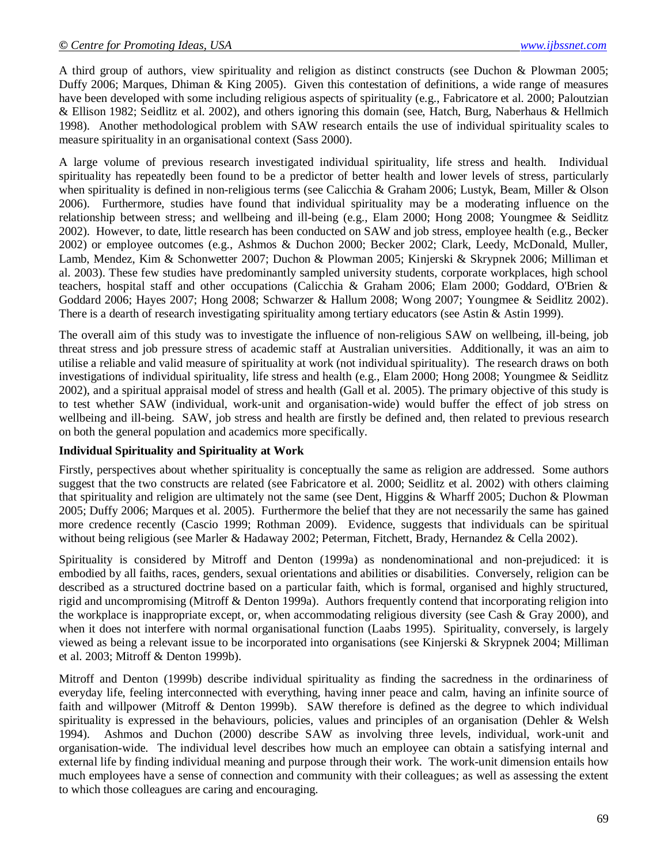A third group of authors, view spirituality and religion as distinct constructs (see Duchon & Plowman 2005; Duffy 2006; Marques, Dhiman & King 2005). Given this contestation of definitions, a wide range of measures have been developed with some including religious aspects of spirituality (e.g., Fabricatore et al. 2000; Paloutzian & Ellison 1982; Seidlitz et al. 2002), and others ignoring this domain (see, Hatch, Burg, Naberhaus & Hellmich 1998). Another methodological problem with SAW research entails the use of individual spirituality scales to measure spirituality in an organisational context (Sass 2000).

A large volume of previous research investigated individual spirituality, life stress and health. Individual spirituality has repeatedly been found to be a predictor of better health and lower levels of stress, particularly when spirituality is defined in non-religious terms (see Calicchia & Graham 2006; Lustyk, Beam, Miller & Olson 2006). Furthermore, studies have found that individual spirituality may be a moderating influence on the relationship between stress; and wellbeing and ill-being (e.g., Elam 2000; Hong 2008; Youngmee & Seidlitz 2002). However, to date, little research has been conducted on SAW and job stress, employee health (e.g., Becker 2002) or employee outcomes (e.g., Ashmos & Duchon 2000; Becker 2002; Clark, Leedy, McDonald, Muller, Lamb, Mendez, Kim & Schonwetter 2007; Duchon & Plowman 2005; Kinjerski & Skrypnek 2006; Milliman et al. 2003). These few studies have predominantly sampled university students, corporate workplaces, high school teachers, hospital staff and other occupations (Calicchia & Graham 2006; Elam 2000; Goddard, O'Brien & Goddard 2006; Hayes 2007; Hong 2008; Schwarzer & Hallum 2008; Wong 2007; Youngmee & Seidlitz 2002). There is a dearth of research investigating spirituality among tertiary educators (see Astin & Astin 1999).

The overall aim of this study was to investigate the influence of non-religious SAW on wellbeing, ill-being, job threat stress and job pressure stress of academic staff at Australian universities. Additionally, it was an aim to utilise a reliable and valid measure of spirituality at work (not individual spirituality). The research draws on both investigations of individual spirituality, life stress and health (e.g., Elam 2000; Hong 2008; Youngmee & Seidlitz 2002), and a spiritual appraisal model of stress and health (Gall et al. 2005). The primary objective of this study is to test whether SAW (individual, work-unit and organisation-wide) would buffer the effect of job stress on wellbeing and ill-being. SAW, job stress and health are firstly be defined and, then related to previous research on both the general population and academics more specifically.

#### **Individual Spirituality and Spirituality at Work**

Firstly, perspectives about whether spirituality is conceptually the same as religion are addressed. Some authors suggest that the two constructs are related (see Fabricatore et al. 2000; Seidlitz et al. 2002) with others claiming that spirituality and religion are ultimately not the same (see Dent, Higgins & Wharff 2005; Duchon & Plowman 2005; Duffy 2006; Marques et al. 2005). Furthermore the belief that they are not necessarily the same has gained more credence recently (Cascio 1999; Rothman 2009). Evidence, suggests that individuals can be spiritual without being religious (see Marler & Hadaway 2002; Peterman, Fitchett, Brady, Hernandez & Cella 2002).

Spirituality is considered by Mitroff and Denton (1999a) as nondenominational and non-prejudiced: it is embodied by all faiths, races, genders, sexual orientations and abilities or disabilities. Conversely, religion can be described as a structured doctrine based on a particular faith, which is formal, organised and highly structured, rigid and uncompromising (Mitroff & Denton 1999a). Authors frequently contend that incorporating religion into the workplace is inappropriate except, or, when accommodating religious diversity (see Cash & Gray 2000), and when it does not interfere with normal organisational function (Laabs 1995). Spirituality, conversely, is largely viewed as being a relevant issue to be incorporated into organisations (see Kinjerski & Skrypnek 2004; Milliman et al. 2003; Mitroff & Denton 1999b).

Mitroff and Denton (1999b) describe individual spirituality as finding the sacredness in the ordinariness of everyday life, feeling interconnected with everything, having inner peace and calm, having an infinite source of faith and willpower (Mitroff & Denton 1999b). SAW therefore is defined as the degree to which individual spirituality is expressed in the behaviours, policies, values and principles of an organisation (Dehler & Welsh 1994). Ashmos and Duchon (2000) describe SAW as involving three levels, individual, work-unit and organisation-wide. The individual level describes how much an employee can obtain a satisfying internal and external life by finding individual meaning and purpose through their work. The work-unit dimension entails how much employees have a sense of connection and community with their colleagues; as well as assessing the extent to which those colleagues are caring and encouraging.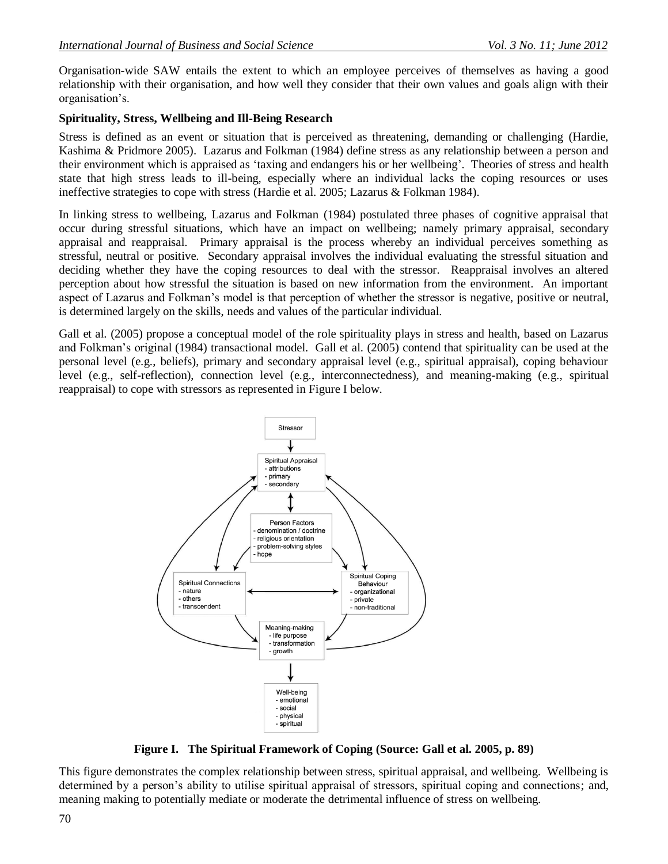Organisation-wide SAW entails the extent to which an employee perceives of themselves as having a good relationship with their organisation, and how well they consider that their own values and goals align with their organisation's.

### **Spirituality, Stress, Wellbeing and Ill-Being Research**

Stress is defined as an event or situation that is perceived as threatening, demanding or challenging (Hardie, Kashima & Pridmore 2005). Lazarus and Folkman (1984) define stress as any relationship between a person and their environment which is appraised as ‗taxing and endangers his or her wellbeing'. Theories of stress and health state that high stress leads to ill-being, especially where an individual lacks the coping resources or uses ineffective strategies to cope with stress (Hardie et al. 2005; Lazarus & Folkman 1984).

In linking stress to wellbeing, Lazarus and Folkman (1984) postulated three phases of cognitive appraisal that occur during stressful situations, which have an impact on wellbeing; namely primary appraisal, secondary appraisal and reappraisal. Primary appraisal is the process whereby an individual perceives something as stressful, neutral or positive. Secondary appraisal involves the individual evaluating the stressful situation and deciding whether they have the coping resources to deal with the stressor. Reappraisal involves an altered perception about how stressful the situation is based on new information from the environment. An important aspect of Lazarus and Folkman's model is that perception of whether the stressor is negative, positive or neutral, is determined largely on the skills, needs and values of the particular individual.

Gall et al. (2005) propose a conceptual model of the role spirituality plays in stress and health, based on Lazarus and Folkman's original (1984) transactional model. Gall et al. (2005) contend that spirituality can be used at the personal level (e.g., beliefs), primary and secondary appraisal level (e.g., spiritual appraisal), coping behaviour level (e.g., self-reflection), connection level (e.g., interconnectedness), and meaning-making (e.g., spiritual reappraisal) to cope with stressors as represented in Figure I below.



**Figure I. The Spiritual Framework of Coping (Source: Gall et al. 2005, p. 89)**

This figure demonstrates the complex relationship between stress, spiritual appraisal, and wellbeing. Wellbeing is determined by a person's ability to utilise spiritual appraisal of stressors, spiritual coping and connections; and, meaning making to potentially mediate or moderate the detrimental influence of stress on wellbeing.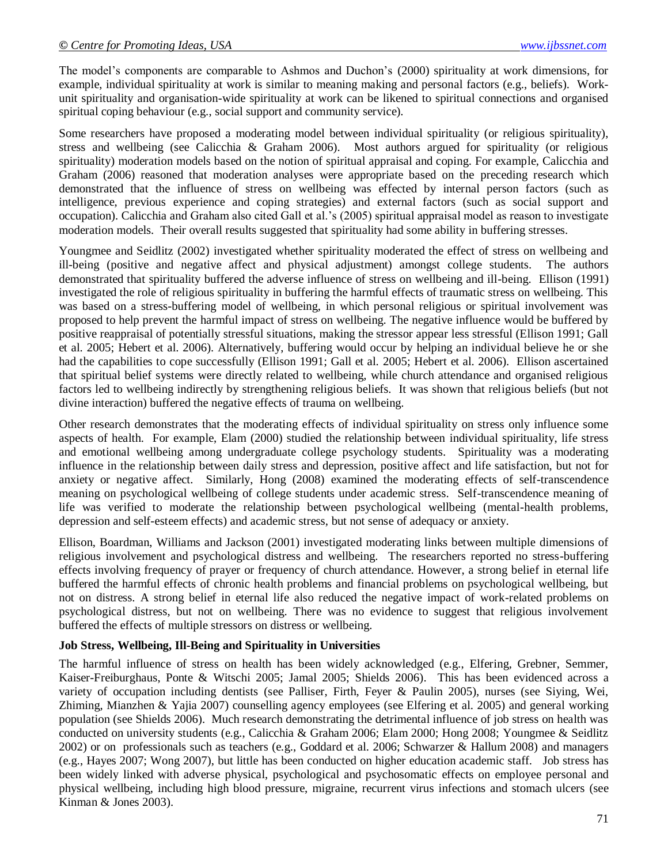The model's components are comparable to Ashmos and Duchon's (2000) spirituality at work dimensions, for example, individual spirituality at work is similar to meaning making and personal factors (e.g., beliefs). Workunit spirituality and organisation-wide spirituality at work can be likened to spiritual connections and organised spiritual coping behaviour (e.g., social support and community service).

Some researchers have proposed a moderating model between individual spirituality (or religious spirituality), stress and wellbeing (see Calicchia & Graham 2006). Most authors argued for spirituality (or religious spirituality) moderation models based on the notion of spiritual appraisal and coping. For example, Calicchia and Graham (2006) reasoned that moderation analyses were appropriate based on the preceding research which demonstrated that the influence of stress on wellbeing was effected by internal person factors (such as intelligence, previous experience and coping strategies) and external factors (such as social support and occupation). Calicchia and Graham also cited Gall et al.'s (2005) spiritual appraisal model as reason to investigate moderation models. Their overall results suggested that spirituality had some ability in buffering stresses.

Youngmee and Seidlitz (2002) investigated whether spirituality moderated the effect of stress on wellbeing and ill-being (positive and negative affect and physical adjustment) amongst college students. The authors demonstrated that spirituality buffered the adverse influence of stress on wellbeing and ill-being. Ellison (1991) investigated the role of religious spirituality in buffering the harmful effects of traumatic stress on wellbeing. This was based on a stress-buffering model of wellbeing, in which personal religious or spiritual involvement was proposed to help prevent the harmful impact of stress on wellbeing. The negative influence would be buffered by positive reappraisal of potentially stressful situations, making the stressor appear less stressful (Ellison 1991; Gall et al. 2005; Hebert et al. 2006). Alternatively, buffering would occur by helping an individual believe he or she had the capabilities to cope successfully (Ellison 1991; Gall et al. 2005; Hebert et al. 2006). Ellison ascertained that spiritual belief systems were directly related to wellbeing, while church attendance and organised religious factors led to wellbeing indirectly by strengthening religious beliefs. It was shown that religious beliefs (but not divine interaction) buffered the negative effects of trauma on wellbeing.

Other research demonstrates that the moderating effects of individual spirituality on stress only influence some aspects of health. For example, Elam (2000) studied the relationship between individual spirituality, life stress and emotional wellbeing among undergraduate college psychology students. Spirituality was a moderating influence in the relationship between daily stress and depression, positive affect and life satisfaction, but not for anxiety or negative affect. Similarly, Hong (2008) examined the moderating effects of self-transcendence meaning on psychological wellbeing of college students under academic stress. Self-transcendence meaning of life was verified to moderate the relationship between psychological wellbeing (mental-health problems, depression and self-esteem effects) and academic stress, but not sense of adequacy or anxiety.

Ellison, Boardman, Williams and Jackson (2001) investigated moderating links between multiple dimensions of religious involvement and psychological distress and wellbeing. The researchers reported no stress-buffering effects involving frequency of prayer or frequency of church attendance. However, a strong belief in eternal life buffered the harmful effects of chronic health problems and financial problems on psychological wellbeing, but not on distress. A strong belief in eternal life also reduced the negative impact of work-related problems on psychological distress, but not on wellbeing. There was no evidence to suggest that religious involvement buffered the effects of multiple stressors on distress or wellbeing.

#### **Job Stress, Wellbeing, Ill-Being and Spirituality in Universities**

The harmful influence of stress on health has been widely acknowledged (e.g., Elfering, Grebner, Semmer, Kaiser-Freiburghaus, Ponte & Witschi 2005; Jamal 2005; Shields 2006). This has been evidenced across a variety of occupation including dentists (see Palliser, Firth, Feyer & Paulin 2005), nurses (see Siying, Wei, Zhiming, Mianzhen & Yajia 2007) counselling agency employees (see Elfering et al. 2005) and general working population (see Shields 2006). Much research demonstrating the detrimental influence of job stress on health was conducted on university students (e.g., Calicchia & Graham 2006; Elam 2000; Hong 2008; Youngmee & Seidlitz 2002) or on professionals such as teachers (e.g., Goddard et al. 2006; Schwarzer & Hallum 2008) and managers (e.g., Hayes 2007; Wong 2007), but little has been conducted on higher education academic staff. Job stress has been widely linked with adverse physical, psychological and psychosomatic effects on employee personal and physical wellbeing, including high blood pressure, migraine, recurrent virus infections and stomach ulcers (see Kinman & Jones 2003).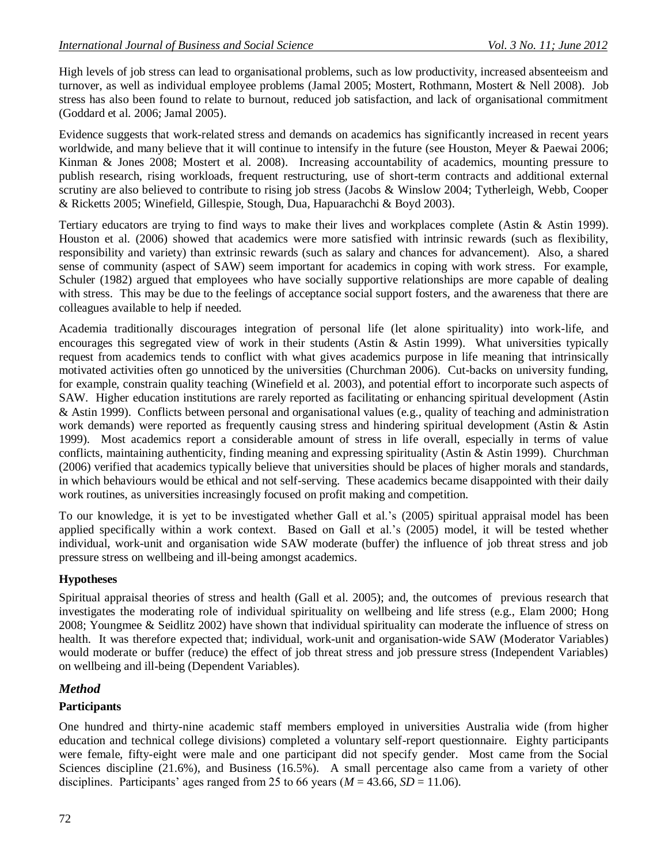High levels of job stress can lead to organisational problems, such as low productivity, increased absenteeism and turnover, as well as individual employee problems (Jamal 2005; Mostert, Rothmann, Mostert & Nell 2008). Job stress has also been found to relate to burnout, reduced job satisfaction, and lack of organisational commitment (Goddard et al. 2006; Jamal 2005).

Evidence suggests that work-related stress and demands on academics has significantly increased in recent years worldwide, and many believe that it will continue to intensify in the future (see Houston, Meyer & Paewai 2006; Kinman & Jones 2008; Mostert et al. 2008). Increasing accountability of academics, mounting pressure to publish research, rising workloads, frequent restructuring, use of short-term contracts and additional external scrutiny are also believed to contribute to rising job stress (Jacobs & Winslow 2004; Tytherleigh, Webb, Cooper & Ricketts 2005; Winefield, Gillespie, Stough, Dua, Hapuarachchi & Boyd 2003).

Tertiary educators are trying to find ways to make their lives and workplaces complete (Astin & Astin 1999). Houston et al. (2006) showed that academics were more satisfied with intrinsic rewards (such as flexibility, responsibility and variety) than extrinsic rewards (such as salary and chances for advancement). Also, a shared sense of community (aspect of SAW) seem important for academics in coping with work stress. For example, Schuler (1982) argued that employees who have socially supportive relationships are more capable of dealing with stress. This may be due to the feelings of acceptance social support fosters, and the awareness that there are colleagues available to help if needed.

Academia traditionally discourages integration of personal life (let alone spirituality) into work-life, and encourages this segregated view of work in their students (Astin & Astin 1999). What universities typically request from academics tends to conflict with what gives academics purpose in life meaning that intrinsically motivated activities often go unnoticed by the universities (Churchman 2006). Cut-backs on university funding, for example, constrain quality teaching (Winefield et al. 2003), and potential effort to incorporate such aspects of SAW. Higher education institutions are rarely reported as facilitating or enhancing spiritual development (Astin & Astin 1999). Conflicts between personal and organisational values (e.g., quality of teaching and administration work demands) were reported as frequently causing stress and hindering spiritual development (Astin & Astin 1999). Most academics report a considerable amount of stress in life overall, especially in terms of value conflicts, maintaining authenticity, finding meaning and expressing spirituality (Astin & Astin 1999). Churchman (2006) verified that academics typically believe that universities should be places of higher morals and standards, in which behaviours would be ethical and not self-serving. These academics became disappointed with their daily work routines, as universities increasingly focused on profit making and competition.

To our knowledge, it is yet to be investigated whether Gall et al.'s (2005) spiritual appraisal model has been applied specifically within a work context. Based on Gall et al.'s (2005) model, it will be tested whether individual, work-unit and organisation wide SAW moderate (buffer) the influence of job threat stress and job pressure stress on wellbeing and ill-being amongst academics.

# **Hypotheses**

Spiritual appraisal theories of stress and health (Gall et al. 2005); and, the outcomes of previous research that investigates the moderating role of individual spirituality on wellbeing and life stress (e.g., Elam 2000; Hong 2008; Youngmee & Seidlitz 2002) have shown that individual spirituality can moderate the influence of stress on health. It was therefore expected that; individual, work-unit and organisation-wide SAW (Moderator Variables) would moderate or buffer (reduce) the effect of job threat stress and job pressure stress (Independent Variables) on wellbeing and ill-being (Dependent Variables).

# *Method*

# **Participants**

One hundred and thirty-nine academic staff members employed in universities Australia wide (from higher education and technical college divisions) completed a voluntary self-report questionnaire. Eighty participants were female, fifty-eight were male and one participant did not specify gender. Most came from the Social Sciences discipline (21.6%), and Business (16.5%). A small percentage also came from a variety of other disciplines. Participants' ages ranged from 25 to 66 years ( $M = 43.66$ ,  $SD = 11.06$ ).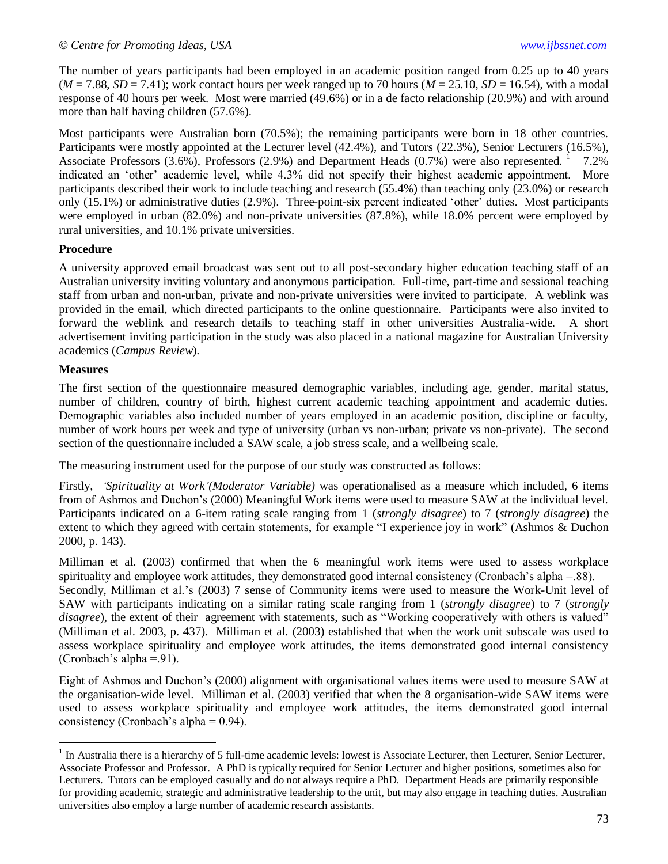The number of years participants had been employed in an academic position ranged from 0.25 up to 40 years  $(M = 7.88, SD = 7.41)$ ; work contact hours per week ranged up to 70 hours  $(M = 25.10, SD = 16.54)$ , with a modal response of 40 hours per week. Most were married (49.6%) or in a de facto relationship (20.9%) and with around more than half having children (57.6%).

Most participants were Australian born (70.5%); the remaining participants were born in 18 other countries. Participants were mostly appointed at the Lecturer level (42.4%), and Tutors (22.3%), Senior Lecturers (16.5%), Associate Professors  $(3.6\%)$ , Professors  $(2.9\%)$  and Department Heads  $(0.7\%)$  were also represented.  $1$  7.2% indicated an 'other' academic level, while 4.3% did not specify their highest academic appointment. More participants described their work to include teaching and research (55.4%) than teaching only (23.0%) or research only (15.1%) or administrative duties (2.9%). Three-point-six percent indicated ‗other' duties. Most participants were employed in urban (82.0%) and non-private universities (87.8%), while 18.0% percent were employed by rural universities, and 10.1% private universities.

### **Procedure**

A university approved email broadcast was sent out to all post-secondary higher education teaching staff of an Australian university inviting voluntary and anonymous participation. Full-time, part-time and sessional teaching staff from urban and non-urban, private and non-private universities were invited to participate. A weblink was provided in the email, which directed participants to the online questionnaire. Participants were also invited to forward the weblink and research details to teaching staff in other universities Australia-wide. A short advertisement inviting participation in the study was also placed in a national magazine for Australian University academics (*Campus Review*).

#### **Measures**

 $\overline{\phantom{a}}$ 

The first section of the questionnaire measured demographic variables, including age, gender, marital status, number of children, country of birth, highest current academic teaching appointment and academic duties. Demographic variables also included number of years employed in an academic position, discipline or faculty, number of work hours per week and type of university (urban vs non-urban; private vs non-private). The second section of the questionnaire included a SAW scale, a job stress scale, and a wellbeing scale.

The measuring instrument used for the purpose of our study was constructed as follows:

Firstly, *'Spirituality at Work'(Moderator Variable)* was operationalised as a measure which included, 6 items from of Ashmos and Duchon's (2000) Meaningful Work items were used to measure SAW at the individual level. Participants indicated on a 6-item rating scale ranging from 1 (*strongly disagree*) to 7 (*strongly disagree*) the extent to which they agreed with certain statements, for example "I experience joy in work" (Ashmos & Duchon 2000, p. 143).

Milliman et al. (2003) confirmed that when the 6 meaningful work items were used to assess workplace spirituality and employee work attitudes, they demonstrated good internal consistency (Cronbach's alpha =.88). Secondly, Milliman et al.'s (2003) 7 sense of Community items were used to measure the Work-Unit level of SAW with participants indicating on a similar rating scale ranging from 1 (*strongly disagree*) to 7 (*strongly disagree*), the extent of their agreement with statements, such as "Working cooperatively with others is valued" (Milliman et al. 2003, p. 437). Milliman et al. (2003) established that when the work unit subscale was used to assess workplace spirituality and employee work attitudes, the items demonstrated good internal consistency (Cronbach's alpha =.91).

Eight of Ashmos and Duchon's (2000) alignment with organisational values items were used to measure SAW at the organisation-wide level. Milliman et al. (2003) verified that when the 8 organisation-wide SAW items were used to assess workplace spirituality and employee work attitudes, the items demonstrated good internal consistency (Cronbach's alpha = 0.94).

 $<sup>1</sup>$  In Australia there is a hierarchy of 5 full-time academic levels: lowest is Associate Lecturer, then Lecturer, Senior Lecturer,</sup> Associate Professor and Professor. A PhD is typically required for Senior Lecturer and higher positions, sometimes also for Lecturers. Tutors can be employed casually and do not always require a PhD. Department Heads are primarily responsible for providing academic, strategic and administrative leadership to the unit, but may also engage in teaching duties. Australian universities also employ a large number of academic research assistants.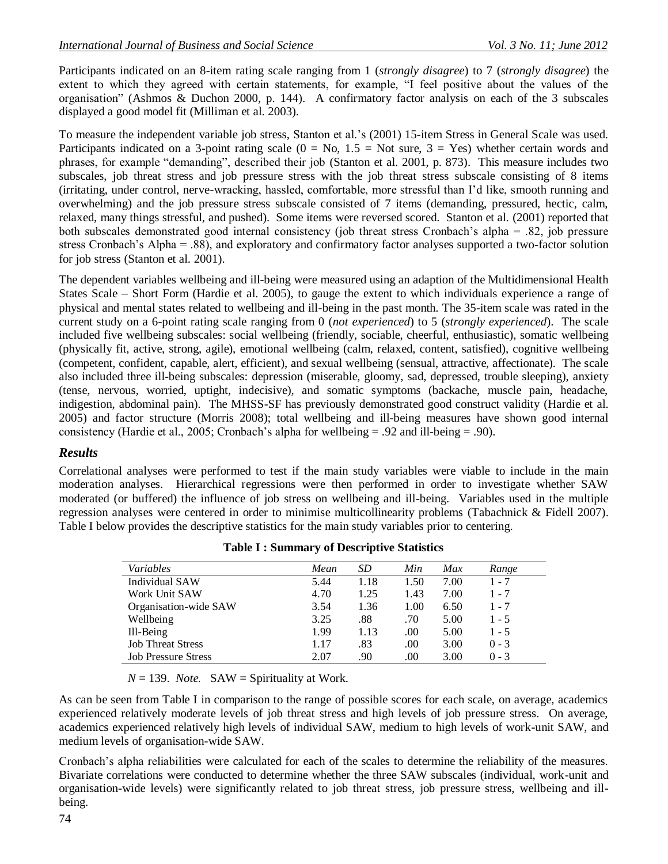Participants indicated on an 8-item rating scale ranging from 1 (*strongly disagree*) to 7 (*strongly disagree*) the extent to which they agreed with certain statements, for example, "I feel positive about the values of the organisation‖ (Ashmos & Duchon 2000, p. 144). A confirmatory factor analysis on each of the 3 subscales displayed a good model fit (Milliman et al. 2003).

To measure the independent variable job stress, Stanton et al.'s (2001) 15-item Stress in General Scale was used. Participants indicated on a 3-point rating scale  $(0 = No, 1.5 = Not sure, 3 = Yes)$  whether certain words and phrases, for example "demanding", described their job (Stanton et al. 2001, p. 873). This measure includes two subscales, job threat stress and job pressure stress with the job threat stress subscale consisting of 8 items (irritating, under control, nerve-wracking, hassled, comfortable, more stressful than I'd like, smooth running and overwhelming) and the job pressure stress subscale consisted of 7 items (demanding, pressured, hectic, calm, relaxed, many things stressful, and pushed). Some items were reversed scored. Stanton et al. (2001) reported that both subscales demonstrated good internal consistency (job threat stress Cronbach's alpha = .82, job pressure stress Cronbach's Alpha = .88), and exploratory and confirmatory factor analyses supported a two-factor solution for job stress (Stanton et al. 2001).

The dependent variables wellbeing and ill-being were measured using an adaption of the Multidimensional Health States Scale – Short Form (Hardie et al. 2005), to gauge the extent to which individuals experience a range of physical and mental states related to wellbeing and ill-being in the past month. The 35-item scale was rated in the current study on a 6-point rating scale ranging from 0 (*not experienced*) to 5 (*strongly experienced*). The scale included five wellbeing subscales: social wellbeing (friendly, sociable, cheerful, enthusiastic), somatic wellbeing (physically fit, active, strong, agile), emotional wellbeing (calm, relaxed, content, satisfied), cognitive wellbeing (competent, confident, capable, alert, efficient), and sexual wellbeing (sensual, attractive, affectionate). The scale also included three ill-being subscales: depression (miserable, gloomy, sad, depressed, trouble sleeping), anxiety (tense, nervous, worried, uptight, indecisive), and somatic symptoms (backache, muscle pain, headache, indigestion, abdominal pain). The MHSS-SF has previously demonstrated good construct validity (Hardie et al. 2005) and factor structure (Morris 2008); total wellbeing and ill-being measures have shown good internal consistency (Hardie et al., 2005; Cronbach's alpha for wellbeing = .92 and ill-being = .90).

### *Results*

Correlational analyses were performed to test if the main study variables were viable to include in the main moderation analyses. Hierarchical regressions were then performed in order to investigate whether SAW moderated (or buffered) the influence of job stress on wellbeing and ill-being. Variables used in the multiple regression analyses were centered in order to minimise multicollinearity problems (Tabachnick & Fidell 2007). Table I below provides the descriptive statistics for the main study variables prior to centering.

| Variables                  | Mean | SD   | Min  | Max  | Range   |
|----------------------------|------|------|------|------|---------|
| Individual SAW             | 5.44 | 1.18 | 1.50 | 7.00 | $1 - 7$ |
| Work Unit SAW              | 4.70 | 1.25 | 1.43 | 7.00 | $1 - 7$ |
| Organisation-wide SAW      | 3.54 | 1.36 | 1.00 | 6.50 | $1 - 7$ |
| Wellbeing                  | 3.25 | .88  | .70  | 5.00 | $1 - 5$ |
| Ill-Being                  | 1.99 | 1.13 | .00  | 5.00 | $1 - 5$ |
| <b>Job Threat Stress</b>   | 1.17 | .83  | .00. | 3.00 | $0 - 3$ |
| <b>Job Pressure Stress</b> | 2.07 | .90  | .00  | 3.00 | $0 - 3$ |

**Table I : Summary of Descriptive Statistics**

 $N = 139$ *. Note.* SAW = Spirituality at Work.

As can be seen from Table I in comparison to the range of possible scores for each scale, on average, academics experienced relatively moderate levels of job threat stress and high levels of job pressure stress. On average, academics experienced relatively high levels of individual SAW, medium to high levels of work-unit SAW, and medium levels of organisation-wide SAW.

Cronbach's alpha reliabilities were calculated for each of the scales to determine the reliability of the measures. Bivariate correlations were conducted to determine whether the three SAW subscales (individual, work-unit and organisation-wide levels) were significantly related to job threat stress, job pressure stress, wellbeing and illbeing.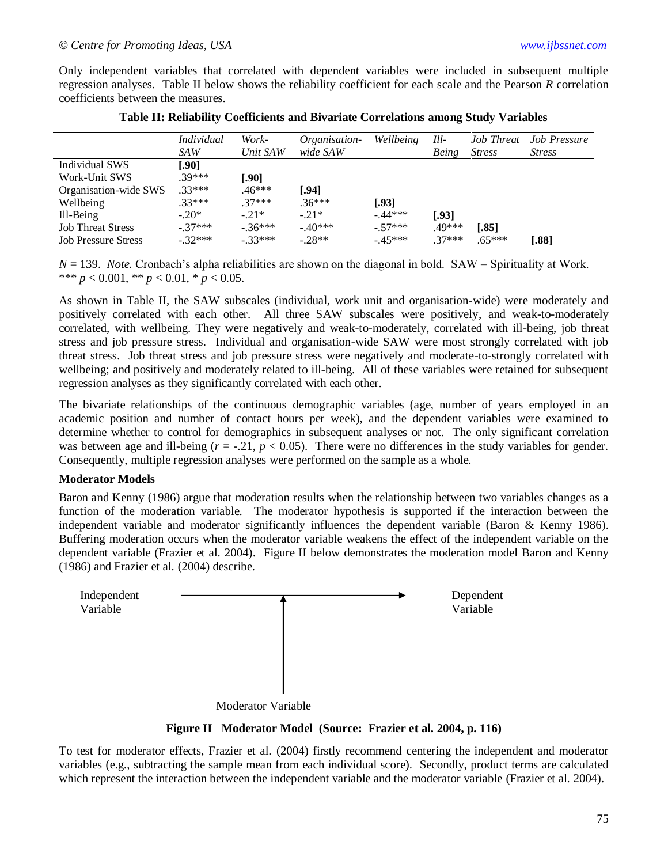Only independent variables that correlated with dependent variables were included in subsequent multiple regression analyses. Table II below shows the reliability coefficient for each scale and the Pearson *R* correlation coefficients between the measures.

|                            | <i>Individual</i><br>SAW | Work-<br>Unit SAW | Organisation-<br>wide SAW | Wellbeing | Ill-<br>Being | <b>Job Threat</b><br><b>Stress</b> | Job Pressure<br><b>Stress</b> |
|----------------------------|--------------------------|-------------------|---------------------------|-----------|---------------|------------------------------------|-------------------------------|
| Individual SWS             | [.90]                    |                   |                           |           |               |                                    |                               |
| Work-Unit SWS              | .39***                   | [.90]             |                           |           |               |                                    |                               |
| Organisation-wide SWS      | $.33***$                 | $.46***$          | [.94]                     |           |               |                                    |                               |
| Wellbeing                  | $.33***$                 | $.37***$          | $.36***$                  | [.93]     |               |                                    |                               |
| Ill-Being                  | $-.20*$                  | $-21*$            | $-21*$                    | $-.44***$ | [.93]         |                                    |                               |
| <b>Job Threat Stress</b>   | $-37***$                 | $-36***$          | $-.40***$                 | $-.57***$ | .49***        | T.851                              |                               |
| <b>Job Pressure Stress</b> | $-32***$                 | $-33***$          | $-28**$                   | $-.45***$ | $37***$       | $.65***$                           | .881                          |

|  |  |  | Table II: Reliability Coefficients and Bivariate Correlations among Study Variables |
|--|--|--|-------------------------------------------------------------------------------------|
|--|--|--|-------------------------------------------------------------------------------------|

 $N = 139$ . *Note.* Cronbach's alpha reliabilities are shown on the diagonal in bold. SAW = Spirituality at Work. \*\*\* *p* < 0.001, \*\* *p* < 0.01, \* *p* < 0.05.

As shown in Table II, the SAW subscales (individual, work unit and organisation-wide) were moderately and positively correlated with each other. All three SAW subscales were positively, and weak-to-moderately correlated, with wellbeing. They were negatively and weak-to-moderately, correlated with ill-being, job threat stress and job pressure stress. Individual and organisation-wide SAW were most strongly correlated with job threat stress. Job threat stress and job pressure stress were negatively and moderate-to-strongly correlated with wellbeing; and positively and moderately related to ill-being. All of these variables were retained for subsequent regression analyses as they significantly correlated with each other.

The bivariate relationships of the continuous demographic variables (age, number of years employed in an academic position and number of contact hours per week), and the dependent variables were examined to determine whether to control for demographics in subsequent analyses or not. The only significant correlation was between age and ill-being  $(r = -0.21, p < 0.05)$ . There were no differences in the study variables for gender. Consequently, multiple regression analyses were performed on the sample as a whole.

#### **Moderator Models**

Baron and Kenny (1986) argue that moderation results when the relationship between two variables changes as a function of the moderation variable. The moderator hypothesis is supported if the interaction between the independent variable and moderator significantly influences the dependent variable (Baron & Kenny 1986). Buffering moderation occurs when the moderator variable weakens the effect of the independent variable on the dependent variable (Frazier et al. 2004). Figure II below demonstrates the moderation model Baron and Kenny (1986) and Frazier et al. (2004) describe.



**Figure II Moderator Model (Source: Frazier et al. 2004, p. 116)**

To test for moderator effects, Frazier et al. (2004) firstly recommend centering the independent and moderator variables (e.g., subtracting the sample mean from each individual score). Secondly, product terms are calculated which represent the interaction between the independent variable and the moderator variable (Frazier et al. 2004).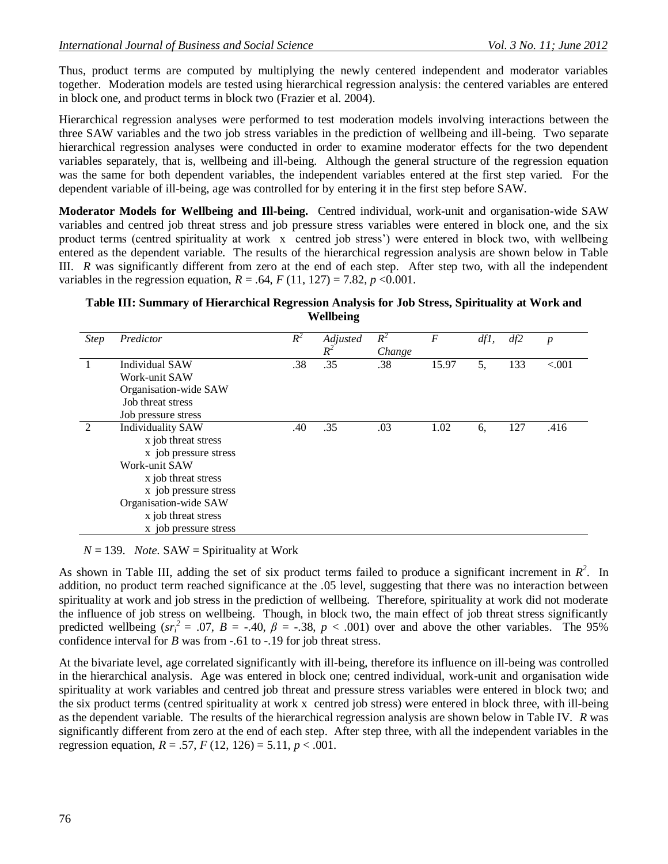Thus, product terms are computed by multiplying the newly centered independent and moderator variables together. Moderation models are tested using hierarchical regression analysis: the centered variables are entered in block one, and product terms in block two (Frazier et al. 2004).

Hierarchical regression analyses were performed to test moderation models involving interactions between the three SAW variables and the two job stress variables in the prediction of wellbeing and ill-being. Two separate hierarchical regression analyses were conducted in order to examine moderator effects for the two dependent variables separately, that is, wellbeing and ill-being. Although the general structure of the regression equation was the same for both dependent variables, the independent variables entered at the first step varied. For the dependent variable of ill-being, age was controlled for by entering it in the first step before SAW.

**Moderator Models for Wellbeing and Ill-being.**Centred individual, work-unit and organisation-wide SAW variables and centred job threat stress and job pressure stress variables were entered in block one, and the six product terms (centred spirituality at work x centred job stress') were entered in block two, with wellbeing entered as the dependent variable. The results of the hierarchical regression analysis are shown below in Table III. *R* was significantly different from zero at the end of each step. After step two, with all the independent variables in the regression equation,  $R = .64$ ,  $F(11, 127) = 7.82$ ,  $p < 0.001$ .

### **Table III: Summary of Hierarchical Regression Analysis for Job Stress, Spirituality at Work and Wellbeing**

| <b>Step</b>   | Predictor                              | $R^2$ | Adjusted<br>$R^2$ | $R^2$<br>Change | F     | dfl, | df2 | $\boldsymbol{p}$ |
|---------------|----------------------------------------|-------|-------------------|-----------------|-------|------|-----|------------------|
|               | Individual SAW                         | .38   | .35               | .38             | 15.97 | 5,   | 133 | < 0.001          |
|               | Work-unit SAW<br>Organisation-wide SAW |       |                   |                 |       |      |     |                  |
|               | Job threat stress                      |       |                   |                 |       |      |     |                  |
|               | Job pressure stress                    |       |                   |                 |       |      |     |                  |
| $\mathcal{D}$ | <b>Individuality SAW</b>               | .40   | .35               | .03             | 1.02  | 6,   | 127 | .416             |
|               | x job threat stress                    |       |                   |                 |       |      |     |                  |
|               | x job pressure stress                  |       |                   |                 |       |      |     |                  |
|               | Work-unit SAW                          |       |                   |                 |       |      |     |                  |
|               | x job threat stress                    |       |                   |                 |       |      |     |                  |
|               | x job pressure stress                  |       |                   |                 |       |      |     |                  |
|               | Organisation-wide SAW                  |       |                   |                 |       |      |     |                  |
|               | x job threat stress                    |       |                   |                 |       |      |     |                  |
|               | x job pressure stress                  |       |                   |                 |       |      |     |                  |

 $N = 139$ *. Note.* SAW = Spirituality at Work

As shown in Table III, adding the set of six product terms failed to produce a significant increment in  $R^2$ . In addition, no product term reached significance at the .05 level, suggesting that there was no interaction between spirituality at work and job stress in the prediction of wellbeing. Therefore, spirituality at work did not moderate the influence of job stress on wellbeing. Though, in block two, the main effect of job threat stress significantly predicted wellbeing ( $sr_i^2 = .07$ ,  $B = -.40$ ,  $\beta = -.38$ ,  $p < .001$ ) over and above the other variables. The 95% confidence interval for *B* was from -.61 to -.19 for job threat stress.

At the bivariate level, age correlated significantly with ill-being, therefore its influence on ill-being was controlled in the hierarchical analysis. Age was entered in block one; centred individual, work-unit and organisation wide spirituality at work variables and centred job threat and pressure stress variables were entered in block two; and the six product terms (centred spirituality at work x centred job stress) were entered in block three, with ill-being as the dependent variable. The results of the hierarchical regression analysis are shown below in Table IV. *R* was significantly different from zero at the end of each step. After step three, with all the independent variables in the regression equation,  $R = .57$ ,  $F(12, 126) = 5.11$ ,  $p < .001$ .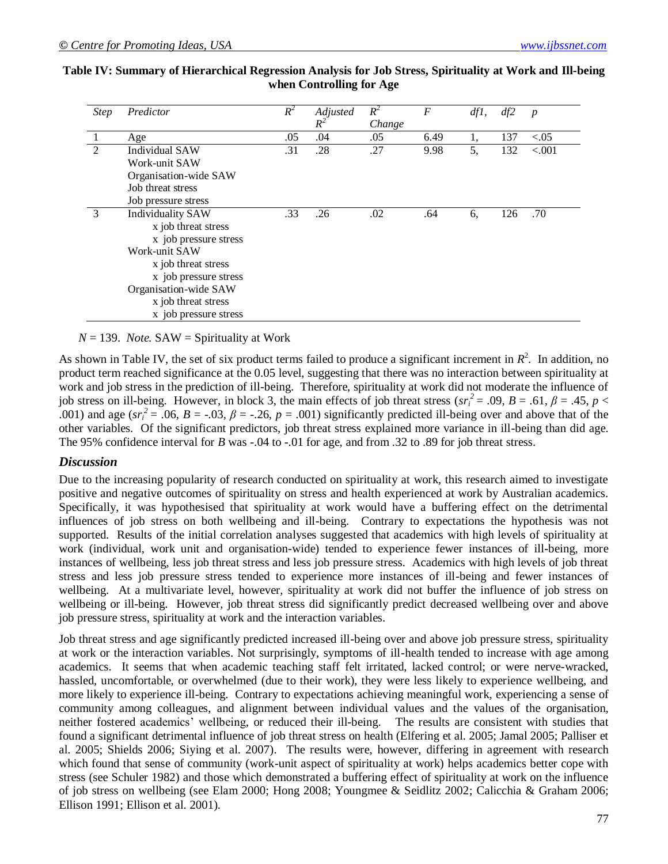| <b>Step</b> | Predictor                | $R^2$ | Adjusted<br>$R^2$ | $R^2$<br>Change | $\overline{F}$ | df1, | df2 | $\boldsymbol{p}$ |
|-------------|--------------------------|-------|-------------------|-----------------|----------------|------|-----|------------------|
|             | Age                      | .05   | .04               | .05             | 6.49           | 1,   | 137 | < 0.05           |
| 2           | <b>Individual SAW</b>    | .31   | .28               | .27             | 9.98           | 5,   | 132 | < .001           |
|             | Work-unit SAW            |       |                   |                 |                |      |     |                  |
|             | Organisation-wide SAW    |       |                   |                 |                |      |     |                  |
|             | Job threat stress        |       |                   |                 |                |      |     |                  |
|             | Job pressure stress      |       |                   |                 |                |      |     |                  |
| 3           | <b>Individuality SAW</b> | .33   | .26               | .02             | .64            | 6.   | 126 | .70              |
|             | x job threat stress      |       |                   |                 |                |      |     |                  |
|             | x job pressure stress    |       |                   |                 |                |      |     |                  |
|             | Work-unit SAW            |       |                   |                 |                |      |     |                  |
|             | x job threat stress      |       |                   |                 |                |      |     |                  |
|             | x job pressure stress    |       |                   |                 |                |      |     |                  |
|             | Organisation-wide SAW    |       |                   |                 |                |      |     |                  |
|             | x job threat stress      |       |                   |                 |                |      |     |                  |
|             | x job pressure stress    |       |                   |                 |                |      |     |                  |

### **Table IV: Summary of Hierarchical Regression Analysis for Job Stress, Spirituality at Work and Ill-being when Controlling for Age**

#### $N = 139$ *. Note.* SAW = Spirituality at Work

As shown in Table IV, the set of six product terms failed to produce a significant increment in  $R^2$ . In addition, no product term reached significance at the 0.05 level, suggesting that there was no interaction between spirituality at work and job stress in the prediction of ill-being. Therefore, spirituality at work did not moderate the influence of job stress on ill-being. However, in block 3, the main effects of job threat stress ( $sr_i^2 = .09$ ,  $B = .61$ ,  $\beta = .45$ ,  $p <$ .001) and age ( $sr_i^2$  = .06, *B* = -.03,  $\beta$  = -.26, *p* = .001) significantly predicted ill-being over and above that of the other variables. Of the significant predictors, job threat stress explained more variance in ill-being than did age. The 95% confidence interval for *B* was -.04 to -.01 for age, and from .32 to .89 for job threat stress.

#### *Discussion*

Due to the increasing popularity of research conducted on spirituality at work, this research aimed to investigate positive and negative outcomes of spirituality on stress and health experienced at work by Australian academics. Specifically, it was hypothesised that spirituality at work would have a buffering effect on the detrimental influences of job stress on both wellbeing and ill-being. Contrary to expectations the hypothesis was not supported. Results of the initial correlation analyses suggested that academics with high levels of spirituality at work (individual, work unit and organisation-wide) tended to experience fewer instances of ill-being, more instances of wellbeing, less job threat stress and less job pressure stress. Academics with high levels of job threat stress and less job pressure stress tended to experience more instances of ill-being and fewer instances of wellbeing. At a multivariate level, however, spirituality at work did not buffer the influence of job stress on wellbeing or ill-being. However, job threat stress did significantly predict decreased wellbeing over and above job pressure stress, spirituality at work and the interaction variables.

Job threat stress and age significantly predicted increased ill-being over and above job pressure stress, spirituality at work or the interaction variables. Not surprisingly, symptoms of ill-health tended to increase with age among academics. It seems that when academic teaching staff felt irritated, lacked control; or were nerve-wracked, hassled, uncomfortable, or overwhelmed (due to their work), they were less likely to experience wellbeing, and more likely to experience ill-being. Contrary to expectations achieving meaningful work, experiencing a sense of community among colleagues, and alignment between individual values and the values of the organisation, neither fostered academics' wellbeing, or reduced their ill-being. The results are consistent with studies that found a significant detrimental influence of job threat stress on health (Elfering et al. 2005; Jamal 2005; Palliser et al. 2005; Shields 2006; Siying et al. 2007). The results were, however, differing in agreement with research which found that sense of community (work-unit aspect of spirituality at work) helps academics better cope with stress (see Schuler 1982) and those which demonstrated a buffering effect of spirituality at work on the influence of job stress on wellbeing (see Elam 2000; Hong 2008; Youngmee & Seidlitz 2002; Calicchia & Graham 2006; Ellison 1991; Ellison et al. 2001).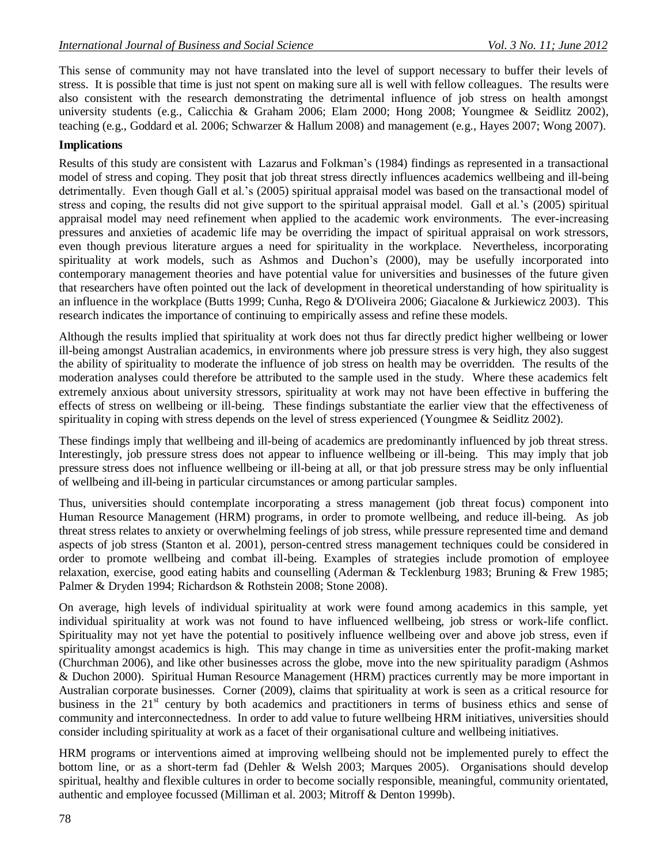This sense of community may not have translated into the level of support necessary to buffer their levels of stress. It is possible that time is just not spent on making sure all is well with fellow colleagues. The results were also consistent with the research demonstrating the detrimental influence of job stress on health amongst university students (e.g., Calicchia & Graham 2006; Elam 2000; Hong 2008; Youngmee & Seidlitz 2002), teaching (e.g., Goddard et al. 2006; Schwarzer & Hallum 2008) and management (e.g., Hayes 2007; Wong 2007).

### **Implications**

Results of this study are consistent with Lazarus and Folkman's (1984) findings as represented in a transactional model of stress and coping. They posit that job threat stress directly influences academics wellbeing and ill-being detrimentally. Even though Gall et al.'s (2005) spiritual appraisal model was based on the transactional model of stress and coping, the results did not give support to the spiritual appraisal model. Gall et al.'s (2005) spiritual appraisal model may need refinement when applied to the academic work environments. The ever-increasing pressures and anxieties of academic life may be overriding the impact of spiritual appraisal on work stressors, even though previous literature argues a need for spirituality in the workplace. Nevertheless, incorporating spirituality at work models, such as Ashmos and Duchon's (2000), may be usefully incorporated into contemporary management theories and have potential value for universities and businesses of the future given that researchers have often pointed out the lack of development in theoretical understanding of how spirituality is an influence in the workplace (Butts 1999; Cunha, Rego & D'Oliveira 2006; Giacalone & Jurkiewicz 2003). This research indicates the importance of continuing to empirically assess and refine these models.

Although the results implied that spirituality at work does not thus far directly predict higher wellbeing or lower ill-being amongst Australian academics, in environments where job pressure stress is very high, they also suggest the ability of spirituality to moderate the influence of job stress on health may be overridden. The results of the moderation analyses could therefore be attributed to the sample used in the study. Where these academics felt extremely anxious about university stressors, spirituality at work may not have been effective in buffering the effects of stress on wellbeing or ill-being. These findings substantiate the earlier view that the effectiveness of spirituality in coping with stress depends on the level of stress experienced (Youngmee & Seidlitz 2002).

These findings imply that wellbeing and ill-being of academics are predominantly influenced by job threat stress. Interestingly, job pressure stress does not appear to influence wellbeing or ill-being. This may imply that job pressure stress does not influence wellbeing or ill-being at all, or that job pressure stress may be only influential of wellbeing and ill-being in particular circumstances or among particular samples.

Thus, universities should contemplate incorporating a stress management (job threat focus) component into Human Resource Management (HRM) programs, in order to promote wellbeing, and reduce ill-being. As job threat stress relates to anxiety or overwhelming feelings of job stress, while pressure represented time and demand aspects of job stress (Stanton et al. 2001), person-centred stress management techniques could be considered in order to promote wellbeing and combat ill-being. Examples of strategies include promotion of employee relaxation, exercise, good eating habits and counselling (Aderman & Tecklenburg 1983; Bruning & Frew 1985; Palmer & Dryden 1994; Richardson & Rothstein 2008; Stone 2008).

On average, high levels of individual spirituality at work were found among academics in this sample, yet individual spirituality at work was not found to have influenced wellbeing, job stress or work-life conflict. Spirituality may not yet have the potential to positively influence wellbeing over and above job stress, even if spirituality amongst academics is high. This may change in time as universities enter the profit-making market (Churchman 2006), and like other businesses across the globe, move into the new spirituality paradigm (Ashmos & Duchon 2000). Spiritual Human Resource Management (HRM) practices currently may be more important in Australian corporate businesses. Corner (2009), claims that spirituality at work is seen as a critical resource for business in the 21<sup>st</sup> century by both academics and practitioners in terms of business ethics and sense of community and interconnectedness. In order to add value to future wellbeing HRM initiatives, universities should consider including spirituality at work as a facet of their organisational culture and wellbeing initiatives.

HRM programs or interventions aimed at improving wellbeing should not be implemented purely to effect the bottom line, or as a short-term fad (Dehler & Welsh 2003; Marques 2005). Organisations should develop spiritual, healthy and flexible cultures in order to become socially responsible, meaningful, community orientated, authentic and employee focussed (Milliman et al. 2003; Mitroff & Denton 1999b).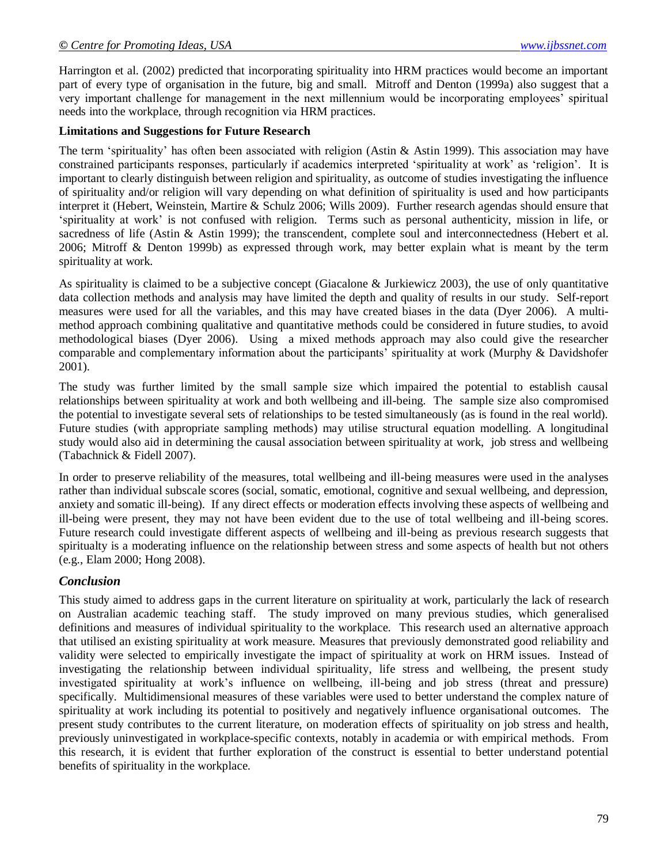Harrington et al. (2002) predicted that incorporating spirituality into HRM practices would become an important part of every type of organisation in the future, big and small. Mitroff and Denton (1999a) also suggest that a very important challenge for management in the next millennium would be incorporating employees' spiritual needs into the workplace, through recognition via HRM practices.

#### **Limitations and Suggestions for Future Research**

The term 'spirituality' has often been associated with religion (Astin  $\&$  Astin 1999). This association may have constrained participants responses, particularly if academics interpreted 'spirituality at work' as 'religion'. It is important to clearly distinguish between religion and spirituality, as outcome of studies investigating the influence of spirituality and/or religion will vary depending on what definition of spirituality is used and how participants interpret it (Hebert, Weinstein, Martire & Schulz 2006; Wills 2009). Further research agendas should ensure that ‗spirituality at work' is not confused with religion. Terms such as personal authenticity, mission in life, or sacredness of life (Astin & Astin 1999); the transcendent, complete soul and interconnectedness (Hebert et al. 2006; Mitroff & Denton 1999b) as expressed through work, may better explain what is meant by the term spirituality at work.

As spirituality is claimed to be a subjective concept (Giacalone & Jurkiewicz 2003), the use of only quantitative data collection methods and analysis may have limited the depth and quality of results in our study. Self-report measures were used for all the variables, and this may have created biases in the data (Dyer 2006). A multimethod approach combining qualitative and quantitative methods could be considered in future studies, to avoid methodological biases (Dyer 2006). Using a mixed methods approach may also could give the researcher comparable and complementary information about the participants' spirituality at work (Murphy & Davidshofer 2001).

The study was further limited by the small sample size which impaired the potential to establish causal relationships between spirituality at work and both wellbeing and ill-being. The sample size also compromised the potential to investigate several sets of relationships to be tested simultaneously (as is found in the real world). Future studies (with appropriate sampling methods) may utilise structural equation modelling. A longitudinal study would also aid in determining the causal association between spirituality at work, job stress and wellbeing (Tabachnick & Fidell 2007).

In order to preserve reliability of the measures, total wellbeing and ill-being measures were used in the analyses rather than individual subscale scores (social, somatic, emotional, cognitive and sexual wellbeing, and depression, anxiety and somatic ill-being). If any direct effects or moderation effects involving these aspects of wellbeing and ill-being were present, they may not have been evident due to the use of total wellbeing and ill-being scores. Future research could investigate different aspects of wellbeing and ill-being as previous research suggests that spiritualty is a moderating influence on the relationship between stress and some aspects of health but not others (e.g., Elam 2000; Hong 2008).

### *Conclusion*

This study aimed to address gaps in the current literature on spirituality at work, particularly the lack of research on Australian academic teaching staff. The study improved on many previous studies, which generalised definitions and measures of individual spirituality to the workplace. This research used an alternative approach that utilised an existing spirituality at work measure. Measures that previously demonstrated good reliability and validity were selected to empirically investigate the impact of spirituality at work on HRM issues. Instead of investigating the relationship between individual spirituality, life stress and wellbeing, the present study investigated spirituality at work's influence on wellbeing, ill-being and job stress (threat and pressure) specifically. Multidimensional measures of these variables were used to better understand the complex nature of spirituality at work including its potential to positively and negatively influence organisational outcomes. The present study contributes to the current literature, on moderation effects of spirituality on job stress and health, previously uninvestigated in workplace-specific contexts, notably in academia or with empirical methods. From this research, it is evident that further exploration of the construct is essential to better understand potential benefits of spirituality in the workplace.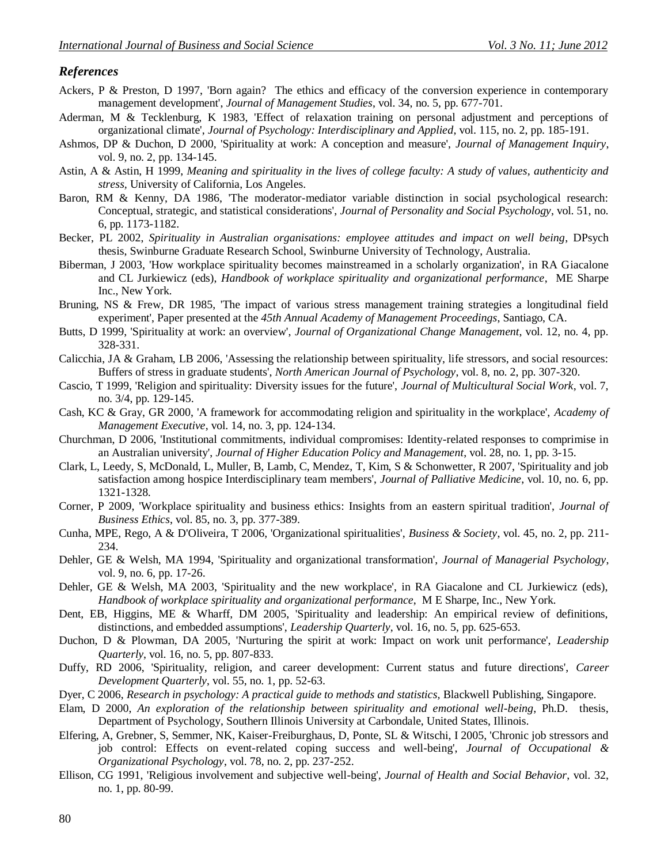#### *References*

- Ackers, P & Preston, D 1997, 'Born again? The ethics and efficacy of the conversion experience in contemporary management development', *Journal of Management Studies*, vol. 34, no. 5, pp. 677-701.
- Aderman, M & Tecklenburg, K 1983, 'Effect of relaxation training on personal adjustment and perceptions of organizational climate', *Journal of Psychology: Interdisciplinary and Applied*, vol. 115, no. 2, pp. 185-191.
- Ashmos, DP & Duchon, D 2000, 'Spirituality at work: A conception and measure', *Journal of Management Inquiry*, vol. 9, no. 2, pp. 134-145.
- Astin, A & Astin, H 1999, *Meaning and spirituality in the lives of college faculty: A study of values, authenticity and stress,* University of California, Los Angeles.
- Baron, RM & Kenny, DA 1986, 'The moderator-mediator variable distinction in social psychological research: Conceptual, strategic, and statistical considerations', *Journal of Personality and Social Psychology*, vol. 51, no. 6, pp. 1173-1182.
- Becker, PL 2002, *Spirituality in Australian organisations: employee attitudes and impact on well being*, DPsych thesis, Swinburne Graduate Research School, Swinburne University of Technology, Australia.
- Biberman, J 2003, 'How workplace spirituality becomes mainstreamed in a scholarly organization', in RA Giacalone and CL Jurkiewicz (eds), *Handbook of workplace spirituality and organizational performance*, ME Sharpe Inc., New York.
- Bruning, NS & Frew, DR 1985, 'The impact of various stress management training strategies a longitudinal field experiment', Paper presented at the *45th Annual Academy of Management Proceedings*, Santiago, CA.
- Butts, D 1999, 'Spirituality at work: an overview', *Journal of Organizational Change Management*, vol. 12, no. 4, pp. 328-331.
- Calicchia, JA & Graham, LB 2006, 'Assessing the relationship between spirituality, life stressors, and social resources: Buffers of stress in graduate students', *North American Journal of Psychology*, vol. 8, no. 2, pp. 307-320.
- Cascio, T 1999, 'Religion and spirituality: Diversity issues for the future', *Journal of Multicultural Social Work*, vol. 7, no. 3/4, pp. 129-145.
- Cash, KC & Gray, GR 2000, 'A framework for accommodating religion and spirituality in the workplace', *Academy of Management Executive*, vol. 14, no. 3, pp. 124-134.
- Churchman, D 2006, 'Institutional commitments, individual compromises: Identity-related responses to comprimise in an Australian university', *Journal of Higher Education Policy and Management*, vol. 28, no. 1, pp. 3-15.
- Clark, L, Leedy, S, McDonald, L, Muller, B, Lamb, C, Mendez, T, Kim, S & Schonwetter, R 2007, 'Spirituality and job satisfaction among hospice Interdisciplinary team members', *Journal of Palliative Medicine*, vol. 10, no. 6, pp. 1321-1328.
- Corner, P 2009, 'Workplace spirituality and business ethics: Insights from an eastern spiritual tradition', *Journal of Business Ethics*, vol. 85, no. 3, pp. 377-389.
- Cunha, MPE, Rego, A & D'Oliveira, T 2006, 'Organizational spiritualities', *Business & Society*, vol. 45, no. 2, pp. 211- 234.
- Dehler, GE & Welsh, MA 1994, 'Spirituality and organizational transformation', *Journal of Managerial Psychology*, vol. 9, no. 6, pp. 17-26.
- Dehler, GE & Welsh, MA 2003, 'Spirituality and the new workplace', in RA Giacalone and CL Jurkiewicz (eds), *Handbook of workplace spirituality and organizational performance*, M E Sharpe, Inc., New York.
- Dent, EB, Higgins, ME & Wharff, DM 2005, 'Spirituality and leadership: An empirical review of definitions, distinctions, and embedded assumptions', *Leadership Quarterly*, vol. 16, no. 5, pp. 625-653.
- Duchon, D & Plowman, DA 2005, 'Nurturing the spirit at work: Impact on work unit performance', *Leadership Quarterly*, vol. 16, no. 5, pp. 807-833.
- Duffy, RD 2006, 'Spirituality, religion, and career development: Current status and future directions', *Career Development Quarterly*, vol. 55, no. 1, pp. 52-63.
- Dyer, C 2006, *Research in psychology: A practical guide to methods and statistics,* Blackwell Publishing, Singapore.
- Elam, D 2000, *An exploration of the relationship between spirituality and emotional well-being*, Ph.D. thesis, Department of Psychology, Southern Illinois University at Carbondale, United States, Illinois.
- Elfering, A, Grebner, S, Semmer, NK, Kaiser-Freiburghaus, D, Ponte, SL & Witschi, I 2005, 'Chronic job stressors and job control: Effects on event-related coping success and well-being', *Journal of Occupational & Organizational Psychology*, vol. 78, no. 2, pp. 237-252.
- Ellison, CG 1991, 'Religious involvement and subjective well-being', *Journal of Health and Social Behavior*, vol. 32, no. 1, pp. 80-99.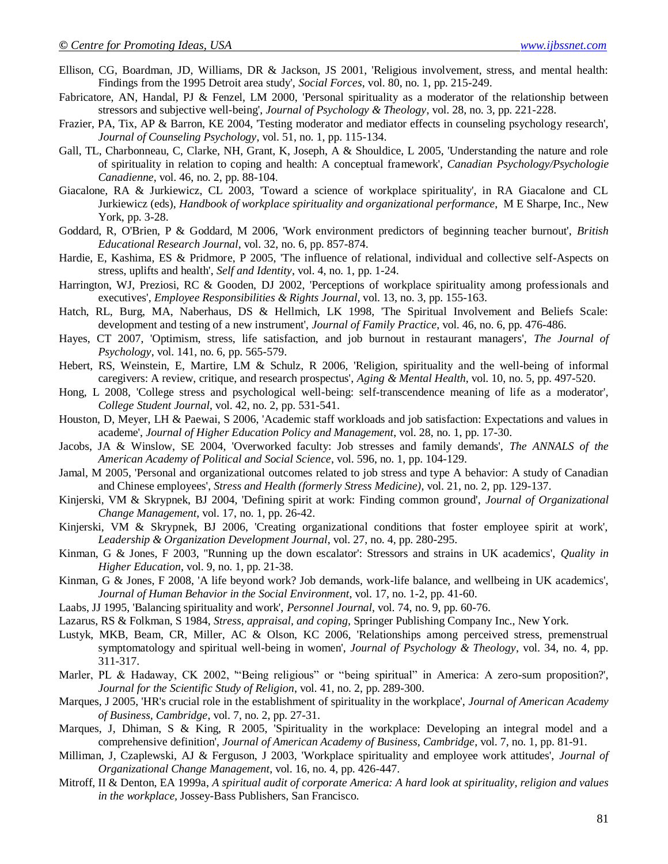- Ellison, CG, Boardman, JD, Williams, DR & Jackson, JS 2001, 'Religious involvement, stress, and mental health: Findings from the 1995 Detroit area study', *Social Forces*, vol. 80, no. 1, pp. 215-249.
- Fabricatore, AN, Handal, PJ & Fenzel, LM 2000, 'Personal spirituality as a moderator of the relationship between stressors and subjective well-being', *Journal of Psychology & Theology*, vol. 28, no. 3, pp. 221-228.
- Frazier, PA, Tix, AP & Barron, KE 2004, 'Testing moderator and mediator effects in counseling psychology research', *Journal of Counseling Psychology*, vol. 51, no. 1, pp. 115-134.
- Gall, TL, Charbonneau, C, Clarke, NH, Grant, K, Joseph, A & Shouldice, L 2005, 'Understanding the nature and role of spirituality in relation to coping and health: A conceptual framework', *Canadian Psychology/Psychologie Canadienne*, vol. 46, no. 2, pp. 88-104.
- Giacalone, RA & Jurkiewicz, CL 2003, 'Toward a science of workplace spirituality', in RA Giacalone and CL Jurkiewicz (eds), *Handbook of workplace spirituality and organizational performance*, M E Sharpe, Inc., New York, pp. 3-28.
- Goddard, R, O'Brien, P & Goddard, M 2006, 'Work environment predictors of beginning teacher burnout', *British Educational Research Journal*, vol. 32, no. 6, pp. 857-874.
- Hardie, E, Kashima, ES & Pridmore, P 2005, 'The influence of relational, individual and collective self-Aspects on stress, uplifts and health', *Self and Identity*, vol. 4, no. 1, pp. 1-24.
- Harrington, WJ, Preziosi, RC & Gooden, DJ 2002, 'Perceptions of workplace spirituality among professionals and executives', *Employee Responsibilities & Rights Journal*, vol. 13, no. 3, pp. 155-163.
- Hatch, RL, Burg, MA, Naberhaus, DS & Hellmich, LK 1998, 'The Spiritual Involvement and Beliefs Scale: development and testing of a new instrument', *Journal of Family Practice*, vol. 46, no. 6, pp. 476-486.
- Hayes, CT 2007, 'Optimism, stress, life satisfaction, and job burnout in restaurant managers', *The Journal of Psychology*, vol. 141, no. 6, pp. 565-579.
- Hebert, RS, Weinstein, E, Martire, LM & Schulz, R 2006, 'Religion, spirituality and the well-being of informal caregivers: A review, critique, and research prospectus', *Aging & Mental Health*, vol. 10, no. 5, pp. 497-520.
- Hong, L 2008, 'College stress and psychological well-being: self-transcendence meaning of life as a moderator', *College Student Journal*, vol. 42, no. 2, pp. 531-541.
- Houston, D, Meyer, LH & Paewai, S 2006, 'Academic staff workloads and job satisfaction: Expectations and values in academe', *Journal of Higher Education Policy and Management*, vol. 28, no. 1, pp. 17-30.
- Jacobs, JA & Winslow, SE 2004, 'Overworked faculty: Job stresses and family demands', *The ANNALS of the American Academy of Political and Social Science*, vol. 596, no. 1, pp. 104-129.
- Jamal, M 2005, 'Personal and organizational outcomes related to job stress and type A behavior: A study of Canadian and Chinese employees', *Stress and Health (formerly Stress Medicine)*, vol. 21, no. 2, pp. 129-137.
- Kinjerski, VM & Skrypnek, BJ 2004, 'Defining spirit at work: Finding common ground', *Journal of Organizational Change Management*, vol. 17, no. 1, pp. 26-42.
- Kinjerski, VM & Skrypnek, BJ 2006, 'Creating organizational conditions that foster employee spirit at work', *Leadership & Organization Development Journal*, vol. 27, no. 4, pp. 280-295.
- Kinman, G & Jones, F 2003, ''Running up the down escalator': Stressors and strains in UK academics', *Quality in Higher Education*, vol. 9, no. 1, pp. 21-38.
- Kinman, G & Jones, F 2008, 'A life beyond work? Job demands, work-life balance, and wellbeing in UK academics', *Journal of Human Behavior in the Social Environment*, vol. 17, no. 1-2, pp. 41-60.
- Laabs, JJ 1995, 'Balancing spirituality and work', *Personnel Journal*, vol. 74, no. 9, pp. 60-76.
- Lazarus, RS & Folkman, S 1984, *Stress, appraisal, and coping,* Springer Publishing Company Inc., New York.
- Lustyk, MKB, Beam, CR, Miller, AC & Olson, KC 2006, 'Relationships among perceived stress, premenstrual symptomatology and spiritual well-being in women', *Journal of Psychology & Theology*, vol. 34, no. 4, pp. 311-317.
- Marler, PL & Hadaway, CK 2002, "Being religious" or "being spiritual" in America: A zero-sum proposition?', *Journal for the Scientific Study of Religion*, vol. 41, no. 2, pp. 289-300.
- Marques, J 2005, 'HR's crucial role in the establishment of spirituality in the workplace', *Journal of American Academy of Business, Cambridge*, vol. 7, no. 2, pp. 27-31.
- Marques, J, Dhiman, S & King, R 2005, 'Spirituality in the workplace: Developing an integral model and a comprehensive definition', *Journal of American Academy of Business, Cambridge*, vol. 7, no. 1, pp. 81-91.
- Milliman, J, Czaplewski, AJ & Ferguson, J 2003, 'Workplace spirituality and employee work attitudes', *Journal of Organizational Change Management*, vol. 16, no. 4, pp. 426-447.
- Mitroff, II & Denton, EA 1999a, *A spiritual audit of corporate America: A hard look at spirituality, religion and values in the workplace,* Jossey-Bass Publishers, San Francisco.